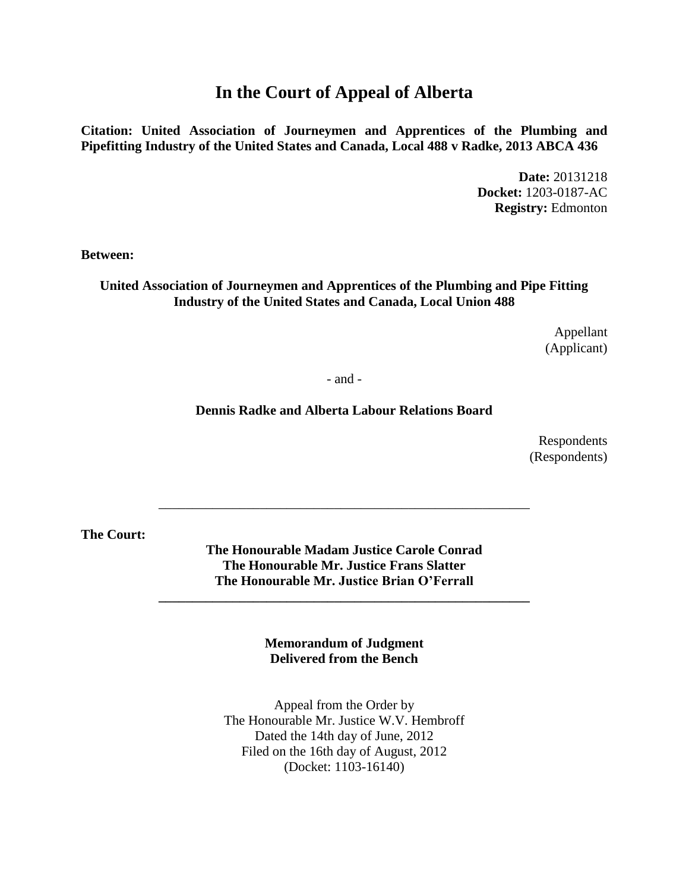# **In the Court of Appeal of Alberta**

**Citation: United Association of Journeymen and Apprentices of the Plumbing and Pipefitting Industry of the United States and Canada, Local 488 v Radke, 2013 ABCA 436**

> **Date:** 20131218 **Docket:** 1203-0187-AC **Registry:** Edmonton

**Between:**

#### **United Association of Journeymen and Apprentices of the Plumbing and Pipe Fitting Industry of the United States and Canada, Local Union 488**

Appellant (Applicant)

- and -

#### **Dennis Radke and Alberta Labour Relations Board**

Respondents (Respondents)

**The Court:**

**The Honourable Madam Justice Carole Conrad The Honourable Mr. Justice Frans Slatter The Honourable Mr. Justice Brian O'Ferrall**

**\_\_\_\_\_\_\_\_\_\_\_\_\_\_\_\_\_\_\_\_\_\_\_\_\_\_\_\_\_\_\_\_\_\_\_\_\_\_\_\_\_\_\_\_\_\_\_\_\_\_\_\_\_\_\_**

\_\_\_\_\_\_\_\_\_\_\_\_\_\_\_\_\_\_\_\_\_\_\_\_\_\_\_\_\_\_\_\_\_\_\_\_\_\_\_\_\_\_\_\_\_\_\_\_\_\_\_\_\_\_\_

**Memorandum of Judgment Delivered from the Bench**

Appeal from the Order by The Honourable Mr. Justice W.V. Hembroff Dated the 14th day of June, 2012 Filed on the 16th day of August, 2012 (Docket: 1103-16140)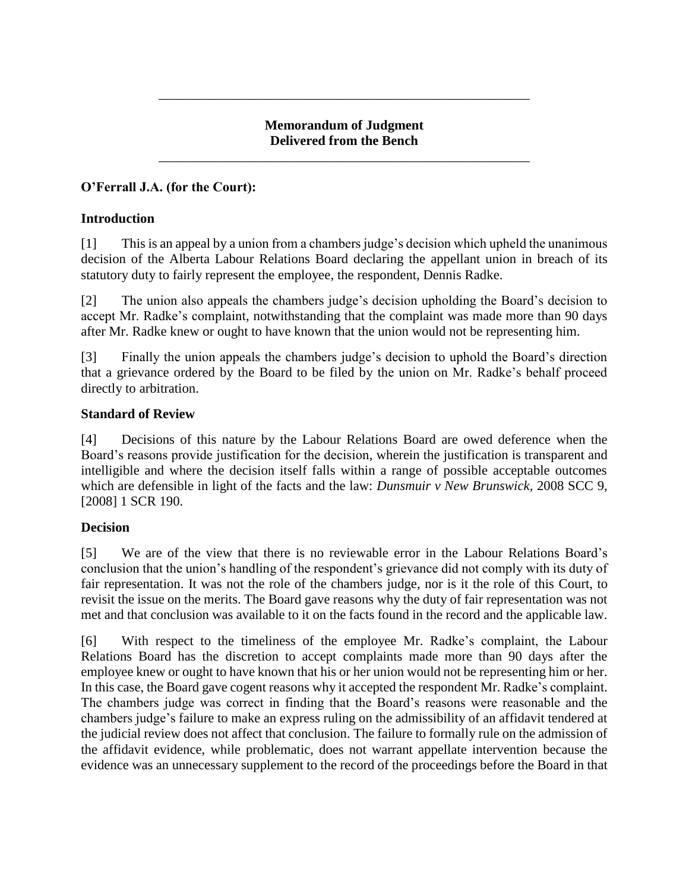## **Memorandum of Judgment Delivered from the Bench**

\_\_\_\_\_\_\_\_\_\_\_\_\_\_\_\_\_\_\_\_\_\_\_\_\_\_\_\_\_\_\_\_\_\_\_\_\_\_\_\_\_\_\_\_\_\_\_\_\_\_\_\_\_\_\_

\_\_\_\_\_\_\_\_\_\_\_\_\_\_\_\_\_\_\_\_\_\_\_\_\_\_\_\_\_\_\_\_\_\_\_\_\_\_\_\_\_\_\_\_\_\_\_\_\_\_\_\_\_\_\_

## **O'Ferrall J.A. (for the Court):**

### **Introduction**

[1] This is an appeal by a union from a chambers judge's decision which upheld the unanimous decision of the Alberta Labour Relations Board declaring the appellant union in breach of its statutory duty to fairly represent the employee, the respondent, Dennis Radke.

[2] The union also appeals the chambers judge's decision upholding the Board's decision to accept Mr. Radke's complaint, notwithstanding that the complaint was made more than 90 days after Mr. Radke knew or ought to have known that the union would not be representing him.

[3] Finally the union appeals the chambers judge's decision to uphold the Board's direction that a grievance ordered by the Board to be filed by the union on Mr. Radke's behalf proceed directly to arbitration.

## **Standard of Review**

[4] Decisions of this nature by the Labour Relations Board are owed deference when the Board's reasons provide justification for the decision, wherein the justification is transparent and intelligible and where the decision itself falls within a range of possible acceptable outcomes which are defensible in light of the facts and the law: *Dunsmuir v New Brunswick,* 2008 SCC 9, [2008] 1 SCR 190.

## **Decision**

[5] We are of the view that there is no reviewable error in the Labour Relations Board's conclusion that the union's handling of the respondent's grievance did not comply with its duty of fair representation. It was not the role of the chambers judge, nor is it the role of this Court, to revisit the issue on the merits. The Board gave reasons why the duty of fair representation was not met and that conclusion was available to it on the facts found in the record and the applicable law.

[6] With respect to the timeliness of the employee Mr. Radke's complaint, the Labour Relations Board has the discretion to accept complaints made more than 90 days after the employee knew or ought to have known that his or her union would not be representing him or her. In this case, the Board gave cogent reasons why it accepted the respondent Mr. Radke's complaint. The chambers judge was correct in finding that the Board's reasons were reasonable and the chambers judge's failure to make an express ruling on the admissibility of an affidavit tendered at the judicial review does not affect that conclusion. The failure to formally rule on the admission of the affidavit evidence, while problematic, does not warrant appellate intervention because the evidence was an unnecessary supplement to the record of the proceedings before the Board in that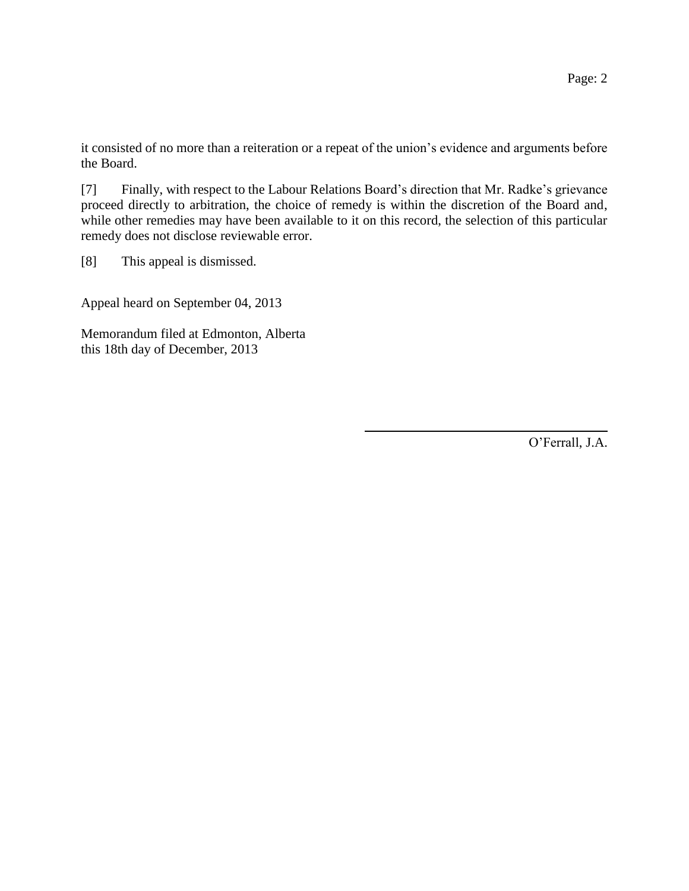it consisted of no more than a reiteration or a repeat of the union's evidence and arguments before the Board.

[7] Finally, with respect to the Labour Relations Board's direction that Mr. Radke's grievance proceed directly to arbitration, the choice of remedy is within the discretion of the Board and, while other remedies may have been available to it on this record, the selection of this particular remedy does not disclose reviewable error.

[8] This appeal is dismissed.

Appeal heard on September 04, 2013

Memorandum filed at Edmonton, Alberta this 18th day of December, 2013

O'Ferrall, J.A.